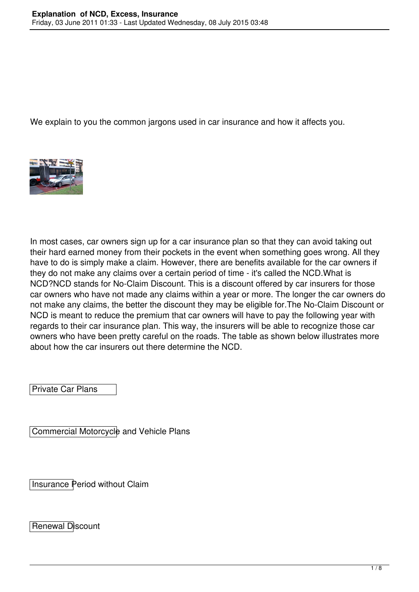We explain to you the common jargons used in car insurance and how it affects you.



In most cases, car owners sign up for a car insurance plan so that they can avoid taking out their hard earned money from their pockets in the event when something goes wrong. All they have to do is simply make a claim. However, there are benefits available for the car owners if they do not make any claims over a certain period of time - it's called the NCD.What is NCD?NCD stands for No-Claim Discount. This is a discount offered by car insurers for those car owners who have not made any claims within a year or more. The longer the car owners do not make any claims, the better the discount they may be eligible for.The No-Claim Discount or NCD is meant to reduce the premium that car owners will have to pay the following year with regards to their car insurance plan. This way, the insurers will be able to recognize those car owners who have been pretty careful on the roads. The table as shown below illustrates more about how the car insurers out there determine the NCD.

Private Car Plans

Commercial Motorcycle and Vehicle Plans

Insurance Period without Claim

Renewal Discount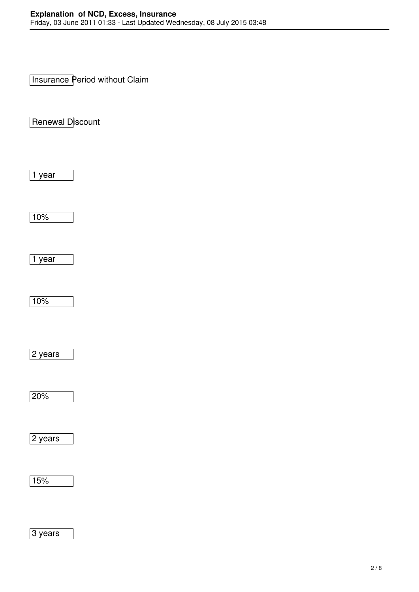Insurance Period without Claim

Renewal Discount

 $\sqrt{1}$  year

 $10%$ 

 $\sqrt{1}$  year

 $10%$ 

2 years

20%

2 years

15%

3 years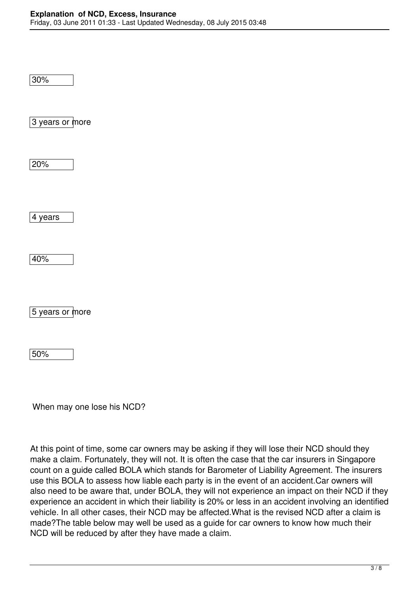30%

3 years or more

20%

4 years

40%

5 years or more

50%

When may one lose his NCD?

At this point of time, some car owners may be asking if they will lose their NCD should they make a claim. Fortunately, they will not. It is often the case that the car insurers in Singapore count on a guide called BOLA which stands for Barometer of Liability Agreement. The insurers use this BOLA to assess how liable each party is in the event of an accident.Car owners will also need to be aware that, under BOLA, they will not experience an impact on their NCD if they experience an accident in which their liability is 20% or less in an accident involving an identified vehicle. In all other cases, their NCD may be affected.What is the revised NCD after a claim is made?The table below may well be used as a guide for car owners to know how much their NCD will be reduced by after they have made a claim.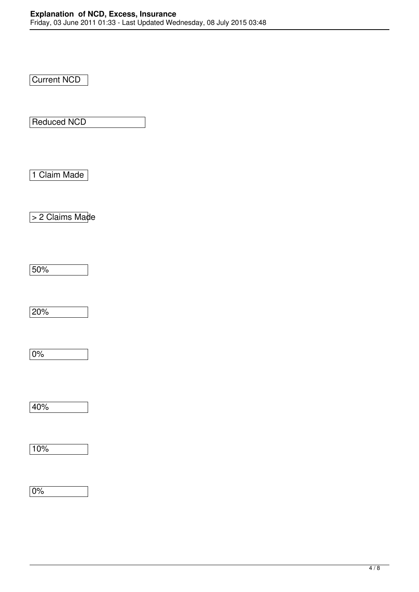Current NCD

Reduced NCD

1 Claim Made

> 2 Claims Made

50%

20%

0%

40%

10%

0%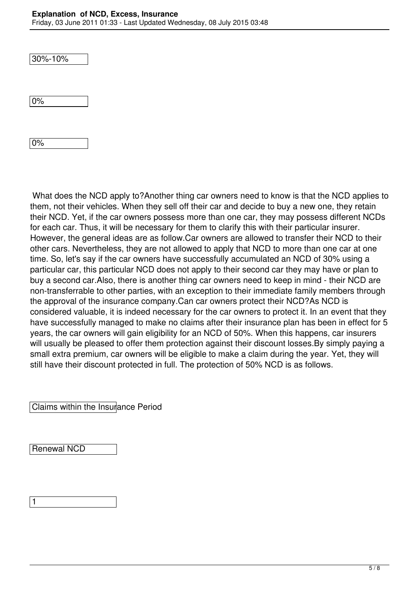30%-10%

0%

0%

 What does the NCD apply to?Another thing car owners need to know is that the NCD applies to them, not their vehicles. When they sell off their car and decide to buy a new one, they retain their NCD. Yet, if the car owners possess more than one car, they may possess different NCDs for each car. Thus, it will be necessary for them to clarify this with their particular insurer. However, the general ideas are as follow.Car owners are allowed to transfer their NCD to their other cars. Nevertheless, they are not allowed to apply that NCD to more than one car at one time. So, let's say if the car owners have successfully accumulated an NCD of 30% using a particular car, this particular NCD does not apply to their second car they may have or plan to buy a second car.Also, there is another thing car owners need to keep in mind - their NCD are non-transferrable to other parties, with an exception to their immediate family members through the approval of the insurance company.Can car owners protect their NCD?As NCD is considered valuable, it is indeed necessary for the car owners to protect it. In an event that they have successfully managed to make no claims after their insurance plan has been in effect for 5 years, the car owners will gain eligibility for an NCD of 50%. When this happens, car insurers will usually be pleased to offer them protection against their discount losses. By simply paying a small extra premium, car owners will be eligible to make a claim during the year. Yet, they will still have their discount protected in full. The protection of 50% NCD is as follows.

Claims within the Insurance Period

Renewal NCD

1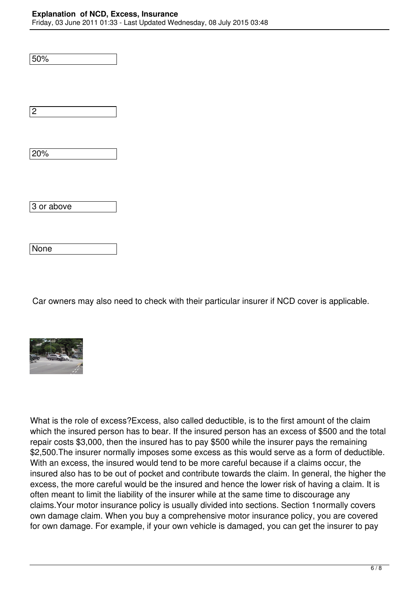## **Explanation of NCD, Excess, Insurance**

Friday, 03 June 2011 01:33 - Last Updated Wednesday, 08 July 2015 03:48

| 50%        |  |
|------------|--|
| $\sqrt{2}$ |  |
| 20%        |  |
|            |  |
| 3 or above |  |

Car owners may also need to check with their particular insurer if NCD cover is applicable.



None

What is the role of excess?Excess, also called deductible, is to the first amount of the claim which the insured person has to bear. If the insured person has an excess of \$500 and the total repair costs \$3,000, then the insured has to pay \$500 while the insurer pays the remaining \$2,500. The insurer normally imposes some excess as this would serve as a form of deductible. With an excess, the insured would tend to be more careful because if a claims occur, the insured also has to be out of pocket and contribute towards the claim. In general, the higher the excess, the more careful would be the insured and hence the lower risk of having a claim. It is often meant to limit the liability of the insurer while at the same time to discourage any claims.Your motor insurance policy is usually divided into sections. Section 1normally covers own damage claim. When you buy a comprehensive motor insurance policy, you are covered for own damage. For example, if your own vehicle is damaged, you can get the insurer to pay